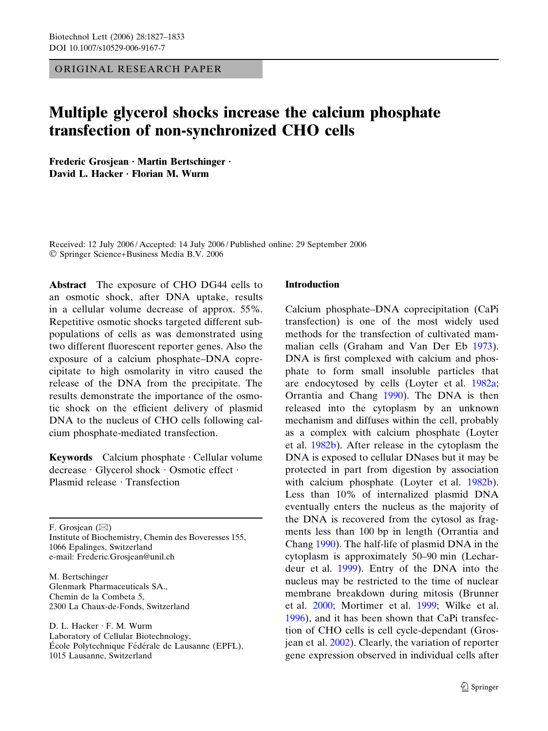ORIGINAL RESEARCH PAPER

# Multiple glycerol shocks increase the calcium phosphate transfection of non-synchronized CHO cells

Frederic Grosjean · Martin Bertschinger · David L. Hacker · Florian M. Wurm

Received: 12 July 2006 / Accepted: 14 July 2006 / Published online: 29 September 2006 Springer Science+Business Media B.V. 2006

Abstract The exposure of CHO DG44 cells to an osmotic shock, after DNA uptake, results in a cellular volume decrease of approx. 55%. Repetitive osmotic shocks targeted different subpopulations of cells as was demonstrated using two different fluorescent reporter genes. Also the exposure of a calcium phosphate–DNA coprecipitate to high osmolarity in vitro caused the release of the DNA from the precipitate. The results demonstrate the importance of the osmotic shock on the efficient delivery of plasmid DNA to the nucleus of CHO cells following calcium phosphate-mediated transfection.

Keywords Calcium phosphate  $\cdot$  Cellular volume decrease · Glycerol shock · Osmotic effect · Plasmid release  $\cdot$  Transfection

F. Grosjean  $(\boxtimes)$ 

Institute of Biochemistry, Chemin des Boveresses 155, 1066 Epalinges, Switzerland e-mail: Frederic.Grosjean@unil.ch

M. Bertschinger Glenmark Pharmaceuticals SA., Chemin de la Combeta 5, 2300 La Chaux-de-Fonds, Switzerland

D. L. Hacker · F. M. Wurm Laboratory of Cellular Biotechnology, École Polytechnique Fédérale de Lausanne (EPFL), 1015 Lausanne, Switzerland

## Introduction

Calcium phosphate–DNA coprecipitation (CaPi transfection) is one of the most widely used methods for the transfection of cultivated mammalian cells (Graham and Van Der Eb [1973\)](#page-6-0). DNA is first complexed with calcium and phosphate to form small insoluble particles that are endocytosed by cells (Loyter et al. [1982a;](#page-6-0) Orrantia and Chang [1990\)](#page-6-0). The DNA is then released into the cytoplasm by an unknown mechanism and diffuses within the cell, probably as a complex with calcium phosphate (Loyter et al. [1982b](#page-6-0)). After release in the cytoplasm the DNA is exposed to cellular DNases but it may be protected in part from digestion by association with calcium phosphate (Loyter et al. [1982b\)](#page-6-0). Less than 10% of internalized plasmid DNA eventually enters the nucleus as the majority of the DNA is recovered from the cytosol as fragments less than 100 bp in length (Orrantia and Chang [1990](#page-6-0)). The half-life of plasmid DNA in the cytoplasm is approximately 50–90 min (Lechardeur et al. [1999\)](#page-6-0). Entry of the DNA into the nucleus may be restricted to the time of nuclear membrane breakdown during mitosis (Brunner et al. [2000;](#page-5-0) Mortimer et al. [1999](#page-6-0); Wilke et al. [1996\)](#page-6-0), and it has been shown that CaPi transfection of CHO cells is cell cycle-dependant (Grosjean et al. [2002\)](#page-6-0). Clearly, the variation of reporter gene expression observed in individual cells after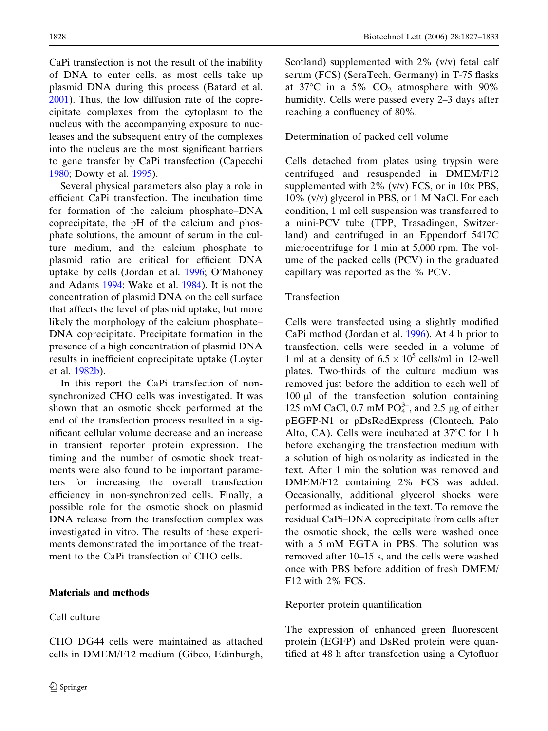CaPi transfection is not the result of the inability of DNA to enter cells, as most cells take up plasmid DNA during this process (Batard et al. [2001\)](#page-5-0). Thus, the low diffusion rate of the coprecipitate complexes from the cytoplasm to the nucleus with the accompanying exposure to nucleases and the subsequent entry of the complexes into the nucleus are the most significant barriers to gene transfer by CaPi transfection (Capecchi [1980;](#page-5-0) Dowty et al. [1995](#page-6-0)).

Several physical parameters also play a role in efficient CaPi transfection. The incubation time for formation of the calcium phosphate–DNA coprecipitate, the pH of the calcium and phosphate solutions, the amount of serum in the culture medium, and the calcium phosphate to plasmid ratio are critical for efficient DNA uptake by cells (Jordan et al. [1996](#page-6-0); O'Mahoney and Adams [1994](#page-6-0); Wake et al. [1984](#page-6-0)). It is not the concentration of plasmid DNA on the cell surface that affects the level of plasmid uptake, but more likely the morphology of the calcium phosphate– DNA coprecipitate. Precipitate formation in the presence of a high concentration of plasmid DNA results in inefficient coprecipitate uptake (Loyter et al. [1982b](#page-6-0)).

In this report the CaPi transfection of nonsynchronized CHO cells was investigated. It was shown that an osmotic shock performed at the end of the transfection process resulted in a significant cellular volume decrease and an increase in transient reporter protein expression. The timing and the number of osmotic shock treatments were also found to be important parameters for increasing the overall transfection efficiency in non-synchronized cells. Finally, a possible role for the osmotic shock on plasmid DNA release from the transfection complex was investigated in vitro. The results of these experiments demonstrated the importance of the treatment to the CaPi transfection of CHO cells.

## Materials and methods

Cell culture

CHO DG44 cells were maintained as attached cells in DMEM/F12 medium (Gibco, Edinburgh,

1828 Biotechnol Lett (2006) 28:1827–1833

Scotland) supplemented with 2% (v/v) fetal calf serum (FCS) (SeraTech, Germany) in T-75 flasks at 37 $\degree$ C in a 5%  $\degree$ CO<sub>2</sub> atmosphere with 90% humidity. Cells were passed every 2–3 days after reaching a confluency of 80%.

## Determination of packed cell volume

Cells detached from plates using trypsin were centrifuged and resuspended in DMEM/F12 supplemented with 2% (v/v) FCS, or in  $10\times$  PBS, 10% (v/v) glycerol in PBS, or 1 M NaCl. For each condition, 1 ml cell suspension was transferred to a mini-PCV tube (TPP, Trasadingen, Switzerland) and centrifuged in an Eppendorf 5417C microcentrifuge for 1 min at 5,000 rpm. The volume of the packed cells (PCV) in the graduated capillary was reported as the % PCV.

# Transfection

Cells were transfected using a slightly modified CaPi method (Jordan et al. [1996](#page-6-0)). At 4 h prior to transfection, cells were seeded in a volume of 1 ml at a density of  $6.5 \times 10^5$  cells/ml in 12-well plates. Two-thirds of the culture medium was removed just before the addition to each well of  $100 \mu l$  of the transfection solution containing 125 mM CaCl, 0.7 mM  $PO_4^{3-}$ , and 2.5 µg of either pEGFP-N1 or pDsRedExpress (Clontech, Palo Alto, CA). Cells were incubated at  $37^{\circ}$ C for 1 h before exchanging the transfection medium with a solution of high osmolarity as indicated in the text. After 1 min the solution was removed and DMEM/F12 containing 2% FCS was added. Occasionally, additional glycerol shocks were performed as indicated in the text. To remove the residual CaPi–DNA coprecipitate from cells after the osmotic shock, the cells were washed once with a 5 mM EGTA in PBS. The solution was removed after 10–15 s, and the cells were washed once with PBS before addition of fresh DMEM/ F12 with 2% FCS.

## Reporter protein quantification

The expression of enhanced green fluorescent protein (EGFP) and DsRed protein were quantified at 48 h after transfection using a Cytofluor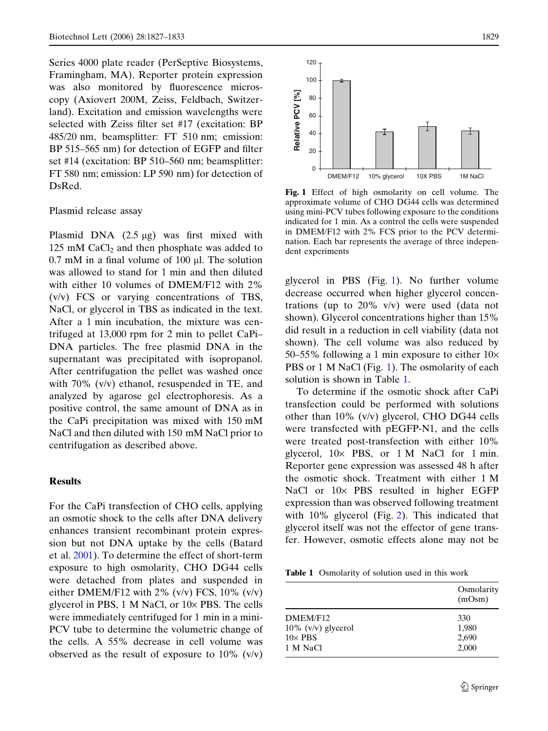Series 4000 plate reader (PerSeptive Biosystems, Framingham, MA). Reporter protein expression was also monitored by fluorescence microscopy (Axiovert 200M, Zeiss, Feldbach, Switzerland). Excitation and emission wavelengths were selected with Zeiss filter set #17 (excitation: BP 485/20 nm, beamsplitter: FT 510 nm; emission: BP 515–565 nm) for detection of EGFP and filter set #14 (excitation: BP 510–560 nm; beamsplitter: FT 580 nm; emission: LP 590 nm) for detection of DsRed.

#### Plasmid release assay

Plasmid DNA  $(2.5 \mu g)$  was first mixed with 125 mM  $CaCl<sub>2</sub>$  and then phosphate was added to  $0.7$  mM in a final volume of  $100 \mu$ . The solution was allowed to stand for 1 min and then diluted with either 10 volumes of DMEM/F12 with 2% (v/v) FCS or varying concentrations of TBS, NaCl, or glycerol in TBS as indicated in the text. After a 1 min incubation, the mixture was centrifuged at 13,000 rpm for 2 min to pellet CaPi– DNA particles. The free plasmid DNA in the supernatant was precipitated with isopropanol. After centrifugation the pellet was washed once with 70% (v/v) ethanol, resuspended in TE, and analyzed by agarose gel electrophoresis. As a positive control, the same amount of DNA as in the CaPi precipitation was mixed with 150 mM NaCl and then diluted with 150 mM NaCl prior to centrifugation as described above.

#### Results

For the CaPi transfection of CHO cells, applying an osmotic shock to the cells after DNA delivery enhances transient recombinant protein expression but not DNA uptake by the cells (Batard et al. [2001](#page-5-0)). To determine the effect of short-term exposure to high osmolarity, CHO DG44 cells were detached from plates and suspended in either DMEM/F12 with 2%  $(v/v)$  FCS, 10%  $(v/v)$ glycerol in PBS,  $1 \text{ M NaCl}$ , or  $10 \times$  PBS. The cells were immediately centrifuged for 1 min in a mini-PCV tube to determine the volumetric change of the cells. A 55% decrease in cell volume was observed as the result of exposure to  $10\%$  (v/v)



Fig. 1 Effect of high osmolarity on cell volume. The approximate volume of CHO DG44 cells was determined using mini-PCV tubes following exposure to the conditions indicated for 1 min. As a control the cells were suspended in DMEM/F12 with 2% FCS prior to the PCV determination. Each bar represents the average of three independent experiments

glycerol in PBS (Fig. 1). No further volume decrease occurred when higher glycerol concentrations (up to 20% v/v) were used (data not shown). Glycerol concentrations higher than 15% did result in a reduction in cell viability (data not shown). The cell volume was also reduced by 50–55% following a 1 min exposure to either  $10\times$ PBS or 1 M NaCl (Fig. 1). The osmolarity of each solution is shown in Table 1.

To determine if the osmotic shock after CaPi transfection could be performed with solutions other than 10% (v/v) glycerol, CHO DG44 cells were transfected with pEGFP-N1, and the cells were treated post-transfection with either 10% glycerol,  $10 \times$  PBS, or  $1 \text{ M}$  NaCl for  $1 \text{ min}$ . Reporter gene expression was assessed 48 h after the osmotic shock. Treatment with either 1 M NaCl or  $10\times$  PBS resulted in higher EGFP expression than was observed following treatment with 10% glycerol (Fig. [2](#page-3-0)). This indicated that glycerol itself was not the effector of gene transfer. However, osmotic effects alone may not be

Table 1 Osmolarity of solution used in this work

|                       | Osmolarity<br>(mOsm) |
|-----------------------|----------------------|
| DMEM/F12              | 330                  |
| $10\%$ (v/v) glycerol | 1,980                |
| $10\times$ PBS        | 2,690                |
| 1 M NaCl              | 2,000                |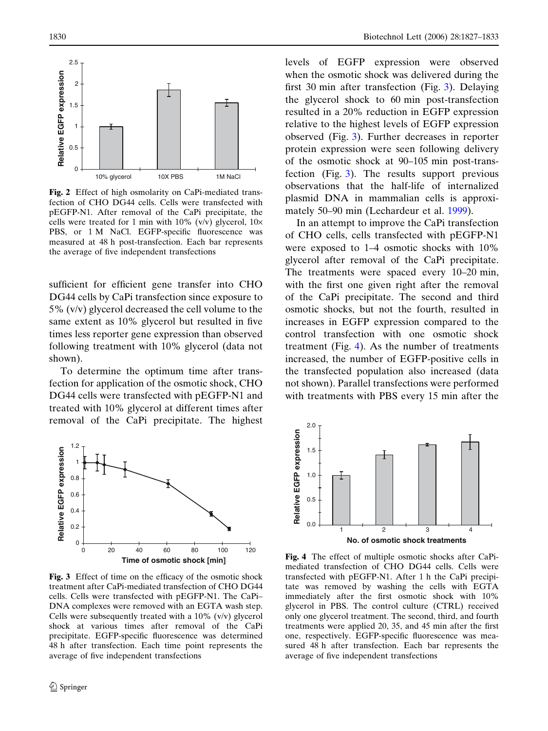<span id="page-3-0"></span>

Fig. 2 Effect of high osmolarity on CaPi-mediated transfection of CHO DG44 cells. Cells were transfected with pEGFP-N1. After removal of the CaPi precipitate, the cells were treated for 1 min with  $10\%$  (v/v) glycerol,  $10\times$ PBS, or 1 M NaCl. EGFP-specific fluorescence was measured at 48 h post-transfection. Each bar represents the average of five independent transfections

sufficient for efficient gene transfer into CHO DG44 cells by CaPi transfection since exposure to 5% (v/v) glycerol decreased the cell volume to the same extent as 10% glycerol but resulted in five times less reporter gene expression than observed following treatment with 10% glycerol (data not shown).

To determine the optimum time after transfection for application of the osmotic shock, CHO DG44 cells were transfected with pEGFP-N1 and treated with 10% glycerol at different times after removal of the CaPi precipitate. The highest



Fig. 3 Effect of time on the efficacy of the osmotic shock treatment after CaPi-mediated transfection of CHO DG44 cells. Cells were transfected with pEGFP-N1. The CaPi– DNA complexes were removed with an EGTA wash step. Cells were subsequently treated with a 10% (v/v) glycerol shock at various times after removal of the CaPi precipitate. EGFP-specific fluorescence was determined 48 h after transfection. Each time point represents the average of five independent transfections

levels of EGFP expression were observed when the osmotic shock was delivered during the first 30 min after transfection (Fig. 3). Delaying the glycerol shock to 60 min post-transfection resulted in a 20% reduction in EGFP expression relative to the highest levels of EGFP expression observed (Fig. 3). Further decreases in reporter protein expression were seen following delivery of the osmotic shock at 90–105 min post-transfection (Fig. 3). The results support previous observations that the half-life of internalized plasmid DNA in mammalian cells is approximately 50–90 min (Lechardeur et al. [1999](#page-6-0)).

In an attempt to improve the CaPi transfection of CHO cells, cells transfected with pEGFP-N1 were exposed to 1–4 osmotic shocks with 10% glycerol after removal of the CaPi precipitate. The treatments were spaced every 10–20 min, with the first one given right after the removal of the CaPi precipitate. The second and third osmotic shocks, but not the fourth, resulted in increases in EGFP expression compared to the control transfection with one osmotic shock treatment (Fig. 4). As the number of treatments increased, the number of EGFP-positive cells in the transfected population also increased (data not shown). Parallel transfections were performed with treatments with PBS every 15 min after the



Fig. 4 The effect of multiple osmotic shocks after CaPimediated transfection of CHO DG44 cells. Cells were transfected with pEGFP-N1. After 1 h the CaPi precipitate was removed by washing the cells with EGTA immediately after the first osmotic shock with 10% glycerol in PBS. The control culture (CTRL) received only one glycerol treatment. The second, third, and fourth treatments were applied 20, 35, and 45 min after the first one, respectively. EGFP-specific fluorescence was measured 48 h after transfection. Each bar represents the average of five independent transfections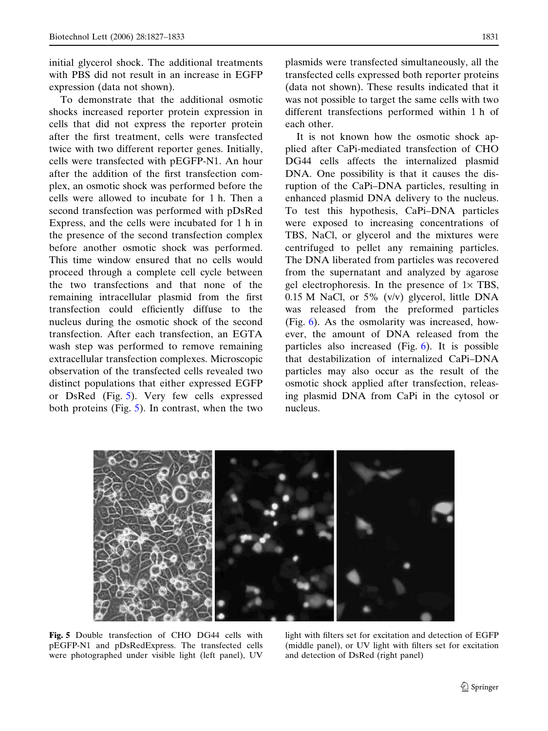initial glycerol shock. The additional treatments with PBS did not result in an increase in EGFP expression (data not shown).

To demonstrate that the additional osmotic shocks increased reporter protein expression in cells that did not express the reporter protein after the first treatment, cells were transfected twice with two different reporter genes. Initially, cells were transfected with pEGFP-N1. An hour after the addition of the first transfection complex, an osmotic shock was performed before the cells were allowed to incubate for 1 h. Then a second transfection was performed with pDsRed Express, and the cells were incubated for 1 h in the presence of the second transfection complex before another osmotic shock was performed. This time window ensured that no cells would proceed through a complete cell cycle between the two transfections and that none of the remaining intracellular plasmid from the first transfection could efficiently diffuse to the nucleus during the osmotic shock of the second transfection. After each transfection, an EGTA wash step was performed to remove remaining extracellular transfection complexes. Microscopic observation of the transfected cells revealed two distinct populations that either expressed EGFP or DsRed (Fig. 5). Very few cells expressed both proteins (Fig. 5). In contrast, when the two plasmids were transfected simultaneously, all the transfected cells expressed both reporter proteins (data not shown). These results indicated that it was not possible to target the same cells with two different transfections performed within 1 h of each other.

It is not known how the osmotic shock applied after CaPi-mediated transfection of CHO DG44 cells affects the internalized plasmid DNA. One possibility is that it causes the disruption of the CaPi–DNA particles, resulting in enhanced plasmid DNA delivery to the nucleus. To test this hypothesis, CaPi–DNA particles were exposed to increasing concentrations of TBS, NaCl, or glycerol and the mixtures were centrifuged to pellet any remaining particles. The DNA liberated from particles was recovered from the supernatant and analyzed by agarose gel electrophoresis. In the presence of  $1 \times TBS$ , 0.15 M NaCl, or 5% (v/v) glycerol, little DNA was released from the preformed particles (Fig. [6](#page-5-0)). As the osmolarity was increased, however, the amount of DNA released from the particles also increased (Fig. [6\)](#page-5-0). It is possible that destabilization of internalized CaPi–DNA particles may also occur as the result of the osmotic shock applied after transfection, releasing plasmid DNA from CaPi in the cytosol or nucleus.



Fig. 5 Double transfection of CHO DG44 cells with pEGFP-N1 and pDsRedExpress. The transfected cells were photographed under visible light (left panel), UV

light with filters set for excitation and detection of EGFP (middle panel), or UV light with filters set for excitation and detection of DsRed (right panel)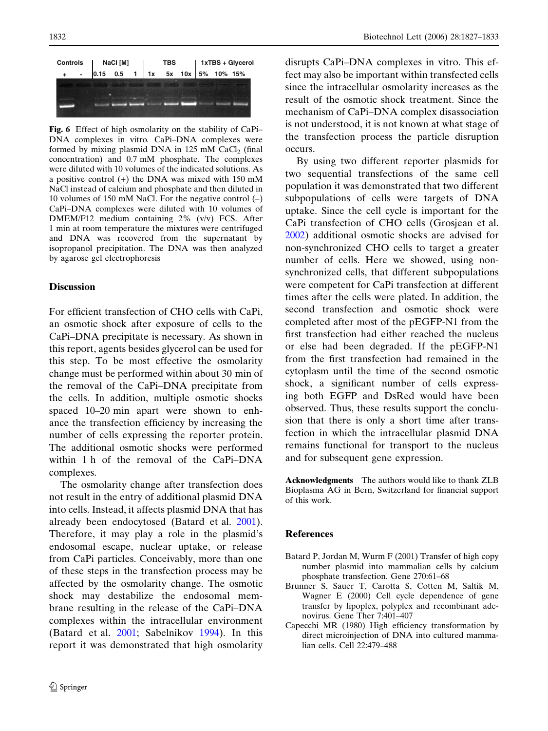<span id="page-5-0"></span>

Fig. 6 Effect of high osmolarity on the stability of CaPi– DNA complexes in vitro*.* CaPi–DNA complexes were formed by mixing plasmid DNA in  $125 \text{ mM }$  CaCl<sub>2</sub> (final concentration) and 0.7 mM phosphate. The complexes were diluted with 10 volumes of the indicated solutions. As a positive control (+) the DNA was mixed with 150 mM NaCl instead of calcium and phosphate and then diluted in 10 volumes of 150 mM NaCl. For the negative control (–) CaPi–DNA complexes were diluted with 10 volumes of DMEM/F12 medium containing 2% (v/v) FCS. After 1 min at room temperature the mixtures were centrifuged and DNA was recovered from the supernatant by isopropanol precipitation. The DNA was then analyzed by agarose gel electrophoresis

#### Discussion

For efficient transfection of CHO cells with CaPi, an osmotic shock after exposure of cells to the CaPi–DNA precipitate is necessary. As shown in this report, agents besides glycerol can be used for this step. To be most effective the osmolarity change must be performed within about 30 min of the removal of the CaPi–DNA precipitate from the cells. In addition, multiple osmotic shocks spaced 10–20 min apart were shown to enhance the transfection efficiency by increasing the number of cells expressing the reporter protein. The additional osmotic shocks were performed within 1 h of the removal of the CaPi–DNA complexes.

The osmolarity change after transfection does not result in the entry of additional plasmid DNA into cells. Instead, it affects plasmid DNA that has already been endocytosed (Batard et al. 2001). Therefore, it may play a role in the plasmid's endosomal escape, nuclear uptake, or release from CaPi particles. Conceivably, more than one of these steps in the transfection process may be affected by the osmolarity change. The osmotic shock may destabilize the endosomal membrane resulting in the release of the CaPi–DNA complexes within the intracellular environment (Batard et al. 2001; Sabelnikov [1994](#page-6-0)). In this report it was demonstrated that high osmolarity disrupts CaPi–DNA complexes in vitro. This effect may also be important within transfected cells since the intracellular osmolarity increases as the result of the osmotic shock treatment. Since the mechanism of CaPi–DNA complex disassociation is not understood, it is not known at what stage of the transfection process the particle disruption occurs.

By using two different reporter plasmids for two sequential transfections of the same cell population it was demonstrated that two different subpopulations of cells were targets of DNA uptake. Since the cell cycle is important for the CaPi transfection of CHO cells (Grosjean et al. [2002\)](#page-6-0) additional osmotic shocks are advised for non-synchronized CHO cells to target a greater number of cells. Here we showed, using nonsynchronized cells, that different subpopulations were competent for CaPi transfection at different times after the cells were plated. In addition, the second transfection and osmotic shock were completed after most of the pEGFP-N1 from the first transfection had either reached the nucleus or else had been degraded. If the pEGFP-N1 from the first transfection had remained in the cytoplasm until the time of the second osmotic shock, a significant number of cells expressing both EGFP and DsRed would have been observed. Thus, these results support the conclusion that there is only a short time after transfection in which the intracellular plasmid DNA remains functional for transport to the nucleus and for subsequent gene expression.

Acknowledgments The authors would like to thank ZLB Bioplasma AG in Bern, Switzerland for financial support of this work.

#### References

- Batard P, Jordan M, Wurm F (2001) Transfer of high copy number plasmid into mammalian cells by calcium phosphate transfection. Gene 270:61–68
- Brunner S, Sauer T, Carotta S, Cotten M, Saltik M, Wagner E (2000) Cell cycle dependence of gene transfer by lipoplex, polyplex and recombinant adenovirus. Gene Ther 7:401–407
- Capecchi MR (1980) High efficiency transformation by direct microinjection of DNA into cultured mammalian cells. Cell 22:479–488